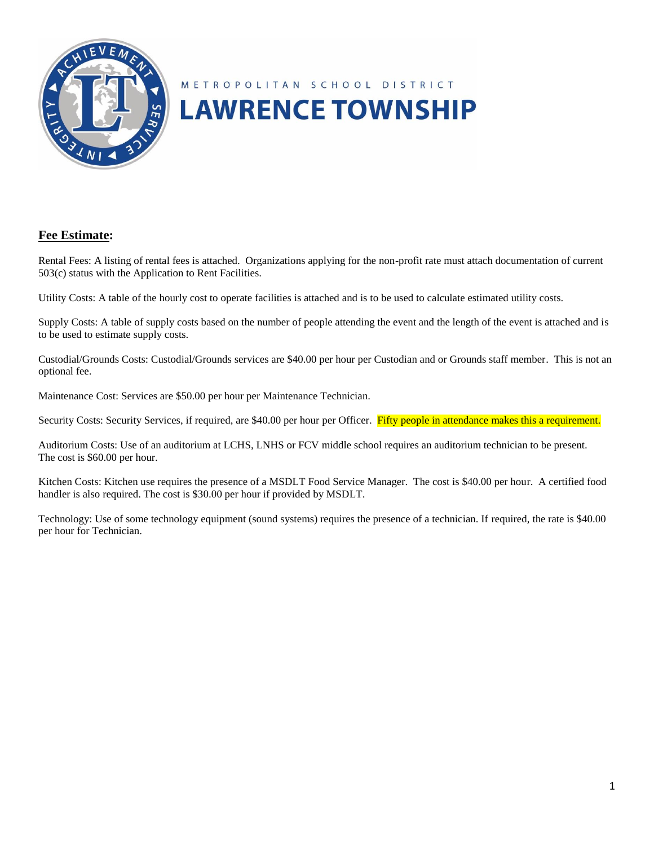

# METROPOLITAN SCHOOL DISTRICT **LAWRENCE TOWNSHIP**

#### **Fee Estimate:**

Rental Fees: A listing of rental fees is attached. Organizations applying for the non-profit rate must attach documentation of current 503(c) status with the Application to Rent Facilities.

Utility Costs: A table of the hourly cost to operate facilities is attached and is to be used to calculate estimated utility costs.

Supply Costs: A table of supply costs based on the number of people attending the event and the length of the event is attached and is to be used to estimate supply costs.

Custodial/Grounds Costs: Custodial/Grounds services are \$40.00 per hour per Custodian and or Grounds staff member. This is not an optional fee.

Maintenance Cost: Services are \$50.00 per hour per Maintenance Technician.

Security Costs: Security Services, if required, are \$40.00 per hour per Officer. Fifty people in attendance makes this a requirement.

Auditorium Costs: Use of an auditorium at LCHS, LNHS or FCV middle school requires an auditorium technician to be present. The cost is \$60.00 per hour.

Kitchen Costs: Kitchen use requires the presence of a MSDLT Food Service Manager. The cost is \$40.00 per hour. A certified food handler is also required. The cost is \$30.00 per hour if provided by MSDLT.

Technology: Use of some technology equipment (sound systems) requires the presence of a technician. If required, the rate is \$40.00 per hour for Technician.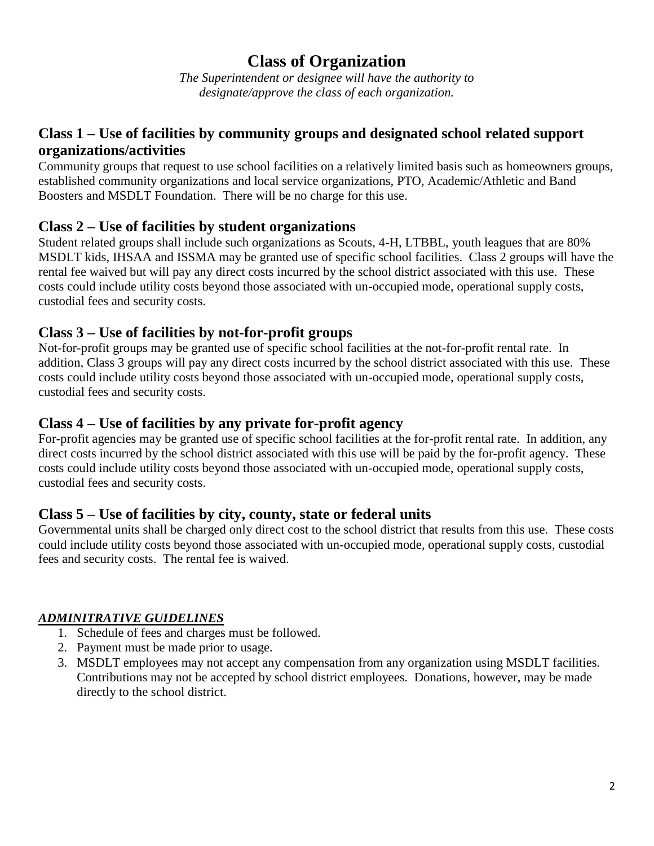# **Class of Organization**

*The Superintendent or designee will have the authority to designate/approve the class of each organization.*

## **Class 1 – Use of facilities by community groups and designated school related support organizations/activities**

Community groups that request to use school facilities on a relatively limited basis such as homeowners groups, established community organizations and local service organizations, PTO, Academic/Athletic and Band Boosters and MSDLT Foundation. There will be no charge for this use.

### **Class 2 – Use of facilities by student organizations**

Student related groups shall include such organizations as Scouts, 4-H, LTBBL, youth leagues that are 80% MSDLT kids, IHSAA and ISSMA may be granted use of specific school facilities. Class 2 groups will have the rental fee waived but will pay any direct costs incurred by the school district associated with this use. These costs could include utility costs beyond those associated with un-occupied mode, operational supply costs, custodial fees and security costs.

### **Class 3 – Use of facilities by not-for-profit groups**

Not-for-profit groups may be granted use of specific school facilities at the not-for-profit rental rate. In addition, Class 3 groups will pay any direct costs incurred by the school district associated with this use. These costs could include utility costs beyond those associated with un-occupied mode, operational supply costs, custodial fees and security costs.

### **Class 4 – Use of facilities by any private for-profit agency**

For-profit agencies may be granted use of specific school facilities at the for-profit rental rate. In addition, any direct costs incurred by the school district associated with this use will be paid by the for-profit agency. These costs could include utility costs beyond those associated with un-occupied mode, operational supply costs, custodial fees and security costs.

### **Class 5 – Use of facilities by city, county, state or federal units**

Governmental units shall be charged only direct cost to the school district that results from this use. These costs could include utility costs beyond those associated with un-occupied mode, operational supply costs, custodial fees and security costs. The rental fee is waived.

#### *ADMINITRATIVE GUIDELINES*

- 1. Schedule of fees and charges must be followed.
- 2. Payment must be made prior to usage.
- 3. MSDLT employees may not accept any compensation from any organization using MSDLT facilities. Contributions may not be accepted by school district employees. Donations, however, may be made directly to the school district.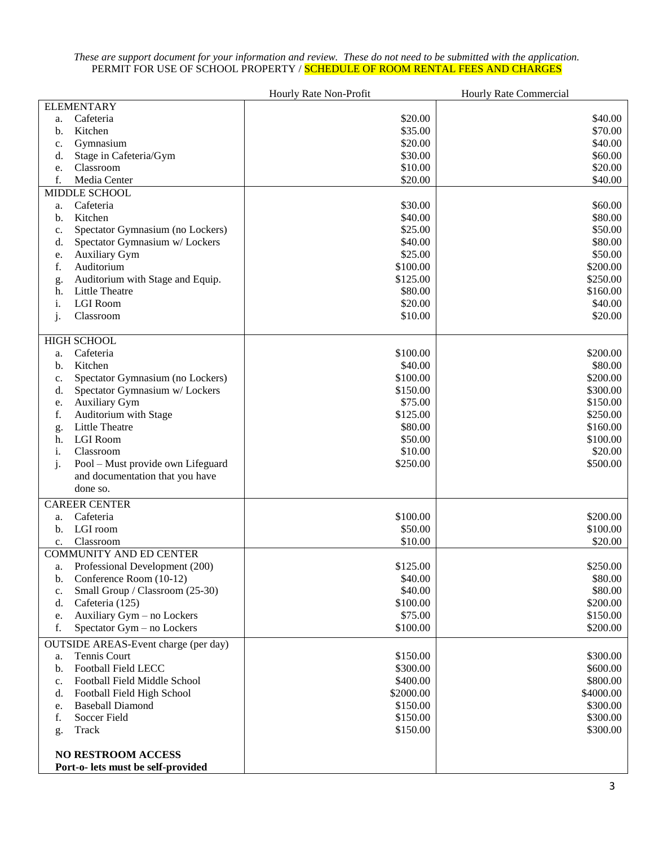#### *These are support document for your information and review. These do not need to be submitted with the application.* PERMIT FOR USE OF SCHOOL PROPERTY / <mark>SCHEDULE OF ROOM RENTAL FEES AND CHARGES</mark>

|    |                                             | Hourly Rate Non-Profit | <b>Hourly Rate Commercial</b> |  |
|----|---------------------------------------------|------------------------|-------------------------------|--|
|    | <b>ELEMENTARY</b>                           |                        |                               |  |
| a. | Cafeteria                                   | \$20.00                | \$40.00                       |  |
| b. | Kitchen                                     | \$35.00                | \$70.00                       |  |
| c. | Gymnasium                                   | \$20.00                | \$40.00                       |  |
| d. | Stage in Cafeteria/Gym                      | \$30.00                | \$60.00                       |  |
| e. | Classroom                                   | \$10.00                | \$20.00                       |  |
| f. | Media Center                                | \$20.00                | \$40.00                       |  |
|    | MIDDLE SCHOOL                               |                        |                               |  |
| a. | Cafeteria                                   | \$30.00                | \$60.00                       |  |
| b. | Kitchen                                     | \$40.00                | \$80.00                       |  |
| c. | Spectator Gymnasium (no Lockers)            | \$25.00                | \$50.00                       |  |
| d. | Spectator Gymnasium w/ Lockers              | \$40.00                | \$80.00                       |  |
| e. | Auxiliary Gym                               | \$25.00                | \$50.00                       |  |
| f. | Auditorium                                  | \$100.00               | \$200.00                      |  |
| g. | Auditorium with Stage and Equip.            | \$125.00               | \$250.00                      |  |
| h. | Little Theatre<br><b>LGI Room</b>           | \$80.00                | \$160.00                      |  |
| i. |                                             | \$20.00                | \$40.00<br>\$20.00            |  |
| j. | Classroom                                   | \$10.00                |                               |  |
|    | <b>HIGH SCHOOL</b>                          |                        |                               |  |
| a. | Cafeteria                                   | \$100.00               | \$200.00                      |  |
| b. | Kitchen                                     | \$40.00                | \$80.00                       |  |
| c. | Spectator Gymnasium (no Lockers)            | \$100.00               | \$200.00                      |  |
| d. | Spectator Gymnasium w/ Lockers              | \$150.00               | \$300.00                      |  |
| e. | Auxiliary Gym                               | \$75.00                | \$150.00                      |  |
| f. | Auditorium with Stage                       | \$125.00               | \$250.00                      |  |
| g. | Little Theatre                              | \$80.00                | \$160.00                      |  |
| h. | <b>LGI</b> Room                             | \$50.00                | \$100.00                      |  |
| i. | Classroom                                   | \$10.00                | \$20.00                       |  |
| j. | Pool - Must provide own Lifeguard           | \$250.00               | \$500.00                      |  |
|    | and documentation that you have             |                        |                               |  |
|    | done so.                                    |                        |                               |  |
|    | <b>CAREER CENTER</b>                        |                        |                               |  |
| a. | Cafeteria                                   | \$100.00               | \$200.00                      |  |
| b. | LGI room                                    | \$50.00                | \$100.00                      |  |
| c. | Classroom                                   | \$10.00                | \$20.00                       |  |
|    | <b>COMMUNITY AND ED CENTER</b>              |                        |                               |  |
| a. | Professional Development (200)              | \$125.00               | \$250.00                      |  |
| b. | Conference Room (10-12)                     | \$40.00                | \$80.00                       |  |
| c. | Small Group / Classroom (25-30)             | \$40.00                | \$80.00                       |  |
| d. | Cafeteria (125)                             | \$100.00               | \$200.00                      |  |
| e. | Auxiliary Gym - no Lockers                  | \$75.00                | \$150.00                      |  |
| f. | Spectator Gym - no Lockers                  | \$100.00               | \$200.00                      |  |
|    | <b>OUTSIDE AREAS-Event charge (per day)</b> |                        |                               |  |
| a. | Tennis Court                                | \$150.00               | \$300.00                      |  |
| b. | <b>Football Field LECC</b>                  | \$300.00               | \$600.00                      |  |
| c. | Football Field Middle School                | \$400.00               | \$800.00                      |  |
| d. | Football Field High School                  | \$2000.00              | \$4000.00                     |  |
| e. | <b>Baseball Diamond</b>                     | \$150.00               | \$300.00                      |  |
| f. | Soccer Field                                | \$150.00               | \$300.00                      |  |
| g. | Track                                       | \$150.00               | \$300.00                      |  |
|    | <b>NO RESTROOM ACCESS</b>                   |                        |                               |  |
|    | Port-o- lets must be self-provided          |                        |                               |  |
|    |                                             |                        |                               |  |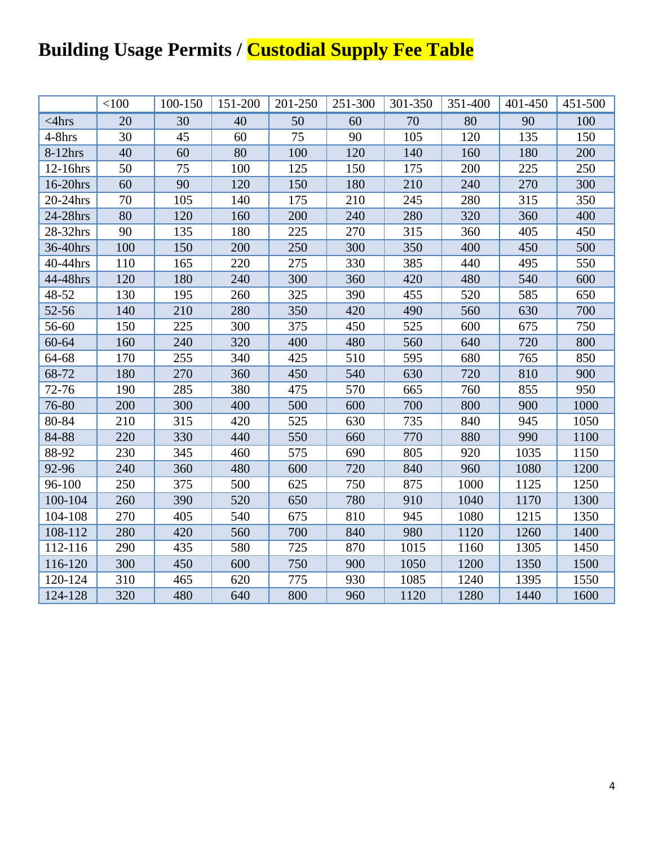# **Building Usage Permits / Custodial Supply Fee Table**

|             | < 100 | 100-150 | 151-200 | 201-250 | 251-300 | 301-350 | 351-400 | 401-450 | 451-500 |
|-------------|-------|---------|---------|---------|---------|---------|---------|---------|---------|
| $<$ 4 $hrs$ | 20    | 30      | 40      | 50      | 60      | 70      | 80      | 90      | 100     |
| 4-8hrs      | 30    | 45      | 60      | 75      | 90      | 105     | 120     | 135     | 150     |
| 8-12hrs     | 40    | 60      | 80      | 100     | 120     | 140     | 160     | 180     | 200     |
| 12-16hrs    | 50    | 75      | 100     | 125     | 150     | 175     | 200     | 225     | 250     |
| 16-20hrs    | 60    | 90      | 120     | 150     | 180     | 210     | 240     | 270     | 300     |
| 20-24hrs    | 70    | 105     | 140     | 175     | 210     | 245     | 280     | 315     | 350     |
| 24-28hrs    | 80    | 120     | 160     | 200     | 240     | 280     | 320     | 360     | 400     |
| 28-32hrs    | 90    | 135     | 180     | 225     | 270     | 315     | 360     | 405     | 450     |
| 36-40hrs    | 100   | 150     | 200     | 250     | 300     | 350     | 400     | 450     | 500     |
| 40-44hrs    | 110   | 165     | 220     | 275     | 330     | 385     | 440     | 495     | 550     |
| 44-48hrs    | 120   | 180     | 240     | 300     | 360     | 420     | 480     | 540     | 600     |
| 48-52       | 130   | 195     | 260     | 325     | 390     | 455     | 520     | 585     | 650     |
| 52-56       | 140   | 210     | 280     | 350     | 420     | 490     | 560     | 630     | 700     |
| 56-60       | 150   | 225     | 300     | 375     | 450     | 525     | 600     | 675     | 750     |
| 60-64       | 160   | 240     | 320     | 400     | 480     | 560     | 640     | 720     | 800     |
| 64-68       | 170   | 255     | 340     | 425     | 510     | 595     | 680     | 765     | 850     |
| 68-72       | 180   | 270     | 360     | 450     | 540     | 630     | 720     | 810     | 900     |
| 72-76       | 190   | 285     | 380     | 475     | 570     | 665     | 760     | 855     | 950     |
| 76-80       | 200   | 300     | 400     | 500     | 600     | 700     | 800     | 900     | 1000    |
| 80-84       | 210   | 315     | 420     | 525     | 630     | 735     | 840     | 945     | 1050    |
| 84-88       | 220   | 330     | 440     | 550     | 660     | 770     | 880     | 990     | 1100    |
| 88-92       | 230   | 345     | 460     | 575     | 690     | 805     | 920     | 1035    | 1150    |
| 92-96       | 240   | 360     | 480     | 600     | 720     | 840     | 960     | 1080    | 1200    |
| 96-100      | 250   | 375     | 500     | 625     | 750     | 875     | 1000    | 1125    | 1250    |
| 100-104     | 260   | 390     | 520     | 650     | 780     | 910     | 1040    | 1170    | 1300    |
| 104-108     | 270   | 405     | 540     | 675     | 810     | 945     | 1080    | 1215    | 1350    |
| 108-112     | 280   | 420     | 560     | 700     | 840     | 980     | 1120    | 1260    | 1400    |
| 112-116     | 290   | 435     | 580     | 725     | 870     | 1015    | 1160    | 1305    | 1450    |
| 116-120     | 300   | 450     | 600     | 750     | 900     | 1050    | 1200    | 1350    | 1500    |
| 120-124     | 310   | 465     | 620     | 775     | 930     | 1085    | 1240    | 1395    | 1550    |
| 124-128     | 320   | 480     | 640     | 800     | 960     | 1120    | 1280    | 1440    | 1600    |